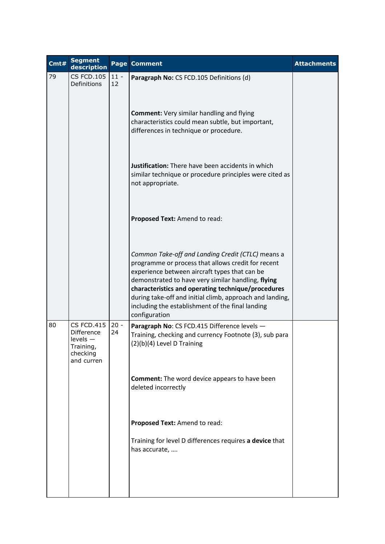| Cmt# | <b>Segment</b><br>description                                                      |              | Page Comment                                                                                                                                                                                                                                                                                                                                                                                          | <b>Attachments</b> |
|------|------------------------------------------------------------------------------------|--------------|-------------------------------------------------------------------------------------------------------------------------------------------------------------------------------------------------------------------------------------------------------------------------------------------------------------------------------------------------------------------------------------------------------|--------------------|
| 79   | <b>CS FCD.105</b><br>Definitions                                                   | $11 -$<br>12 | Paragraph No: CS FCD.105 Definitions (d)                                                                                                                                                                                                                                                                                                                                                              |                    |
|      |                                                                                    |              | <b>Comment:</b> Very similar handling and flying<br>characteristics could mean subtle, but important,<br>differences in technique or procedure.                                                                                                                                                                                                                                                       |                    |
|      |                                                                                    |              | Justification: There have been accidents in which<br>similar technique or procedure principles were cited as<br>not appropriate.                                                                                                                                                                                                                                                                      |                    |
|      |                                                                                    |              | Proposed Text: Amend to read:                                                                                                                                                                                                                                                                                                                                                                         |                    |
|      |                                                                                    |              | Common Take-off and Landing Credit (CTLC) means a<br>programme or process that allows credit for recent<br>experience between aircraft types that can be<br>demonstrated to have very similar handling, flying<br>characteristics and operating technique/procedures<br>during take-off and initial climb, approach and landing,<br>including the establishment of the final landing<br>configuration |                    |
| 80   | <b>CS FCD.415</b><br>Difference<br>levels —<br>Training,<br>checking<br>and curren | $20 -$<br>24 | Paragraph No: CS FCD.415 Difference levels -<br>Training, checking and currency Footnote (3), sub para<br>(2)(b)(4) Level D Training                                                                                                                                                                                                                                                                  |                    |
|      |                                                                                    |              | <b>Comment:</b> The word device appears to have been<br>deleted incorrectly                                                                                                                                                                                                                                                                                                                           |                    |
|      |                                                                                    |              | Proposed Text: Amend to read:                                                                                                                                                                                                                                                                                                                                                                         |                    |
|      |                                                                                    |              | Training for level D differences requires a device that<br>has accurate,                                                                                                                                                                                                                                                                                                                              |                    |
|      |                                                                                    |              |                                                                                                                                                                                                                                                                                                                                                                                                       |                    |